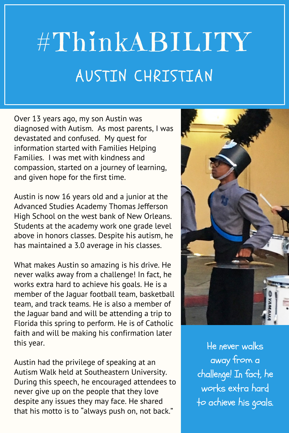## #ThinkABILITY AUSTIN CHRISTIAN

Over 13 years ago, my son Austin was diagnosed with Autism. As most parents, I was devastated and confused. My quest for information started with Families Helping Families. I was met with kindness and compassion, started on a journey of learning, and given hope for the first time.

Austin is now 16 years old and a junior at the Advanced Studies Academy Thomas Jefferson High School on the west bank of New Orleans. Students at the academy work one grade level above in honors classes. Despite his autism, he has maintained a 3.0 average in his classes.

What makes Austin so amazing is his drive. He never walks away from a challenge! In fact, he works extra hard to achieve his goals. He is a member of the Jaguar football team, basketball team, and track teams. He is also a member of the Jaguar band and will be attending a trip to Florida this spring to perform. He is of Catholic faith and will be making his confirmation later this year.

Austin had the privilege of speaking at an Autism Walk held at Southeastern University. During this speech, he encouraged attendees to never give up on the people that they love despite any issues they may face. He shared that his motto is to "always push on, not back."



He never walks away from a challenge! In fact, he works extra hard to achieve his goals.